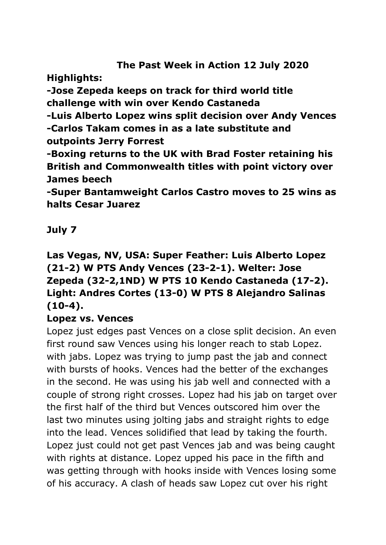# **The Past Week in Action 12 July 2020**

**Highlights:**

**-Jose Zepeda keeps on track for third world title challenge with win over Kendo Castaneda**

**-Luis Alberto Lopez wins split decision over Andy Vences -Carlos Takam comes in as a late substitute and outpoints Jerry Forrest**

**-Boxing returns to the UK with Brad Foster retaining his British and Commonwealth titles with point victory over James beech**

**-Super Bantamweight Carlos Castro moves to 25 wins as halts Cesar Juarez**

**July 7**

# **Las Vegas, NV, USA: Super Feather: Luis Alberto Lopez (21-2) W PTS Andy Vences (23-2-1). Welter: Jose Zepeda (32-2,1ND) W PTS 10 Kendo Castaneda (17-2). Light: Andres Cortes (13-0) W PTS 8 Alejandro Salinas (10-4).**

# **Lopez vs. Vences**

Lopez just edges past Vences on a close split decision. An even first round saw Vences using his longer reach to stab Lopez. with jabs. Lopez was trying to jump past the jab and connect with bursts of hooks. Vences had the better of the exchanges in the second. He was using his jab well and connected with a couple of strong right crosses. Lopez had his jab on target over the first half of the third but Vences outscored him over the last two minutes using jolting jabs and straight rights to edge into the lead. Vences solidified that lead by taking the fourth. Lopez just could not get past Vences jab and was being caught with rights at distance. Lopez upped his pace in the fifth and was getting through with hooks inside with Vences losing some of his accuracy. A clash of heads saw Lopez cut over his right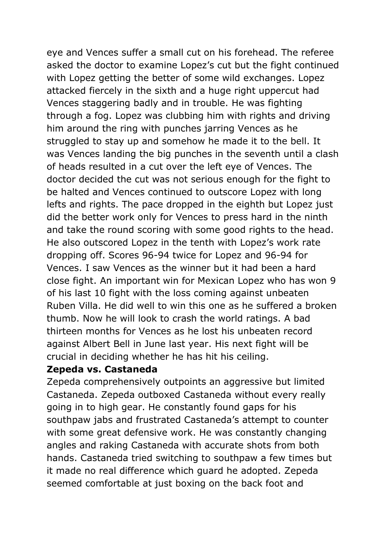eye and Vences suffer a small cut on his forehead. The referee asked the doctor to examine Lopez's cut but the fight continued with Lopez getting the better of some wild exchanges. Lopez attacked fiercely in the sixth and a huge right uppercut had Vences staggering badly and in trouble. He was fighting through a fog. Lopez was clubbing him with rights and driving him around the ring with punches jarring Vences as he struggled to stay up and somehow he made it to the bell. It was Vences landing the big punches in the seventh until a clash of heads resulted in a cut over the left eye of Vences. The doctor decided the cut was not serious enough for the fight to be halted and Vences continued to outscore Lopez with long lefts and rights. The pace dropped in the eighth but Lopez just did the better work only for Vences to press hard in the ninth and take the round scoring with some good rights to the head. He also outscored Lopez in the tenth with Lopez's work rate dropping off. Scores 96-94 twice for Lopez and 96-94 for Vences. I saw Vences as the winner but it had been a hard close fight. An important win for Mexican Lopez who has won 9 of his last 10 fight with the loss coming against unbeaten Ruben Villa. He did well to win this one as he suffered a broken thumb. Now he will look to crash the world ratings. A bad thirteen months for Vences as he lost his unbeaten record against Albert Bell in June last year. His next fight will be crucial in deciding whether he has hit his ceiling.

#### **Zepeda vs. Castaneda**

Zepeda comprehensively outpoints an aggressive but limited Castaneda. Zepeda outboxed Castaneda without every really going in to high gear. He constantly found gaps for his southpaw jabs and frustrated Castaneda's attempt to counter with some great defensive work. He was constantly changing angles and raking Castaneda with accurate shots from both hands. Castaneda tried switching to southpaw a few times but it made no real difference which guard he adopted. Zepeda seemed comfortable at just boxing on the back foot and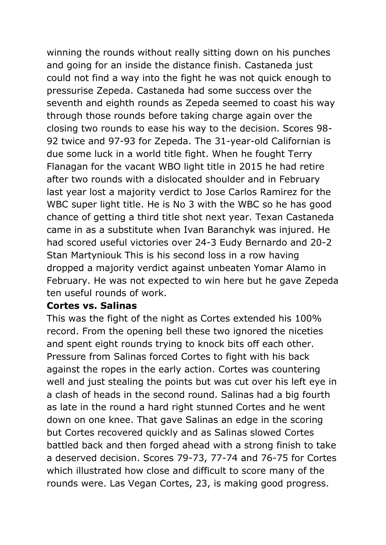winning the rounds without really sitting down on his punches and going for an inside the distance finish. Castaneda just could not find a way into the fight he was not quick enough to pressurise Zepeda. Castaneda had some success over the seventh and eighth rounds as Zepeda seemed to coast his way through those rounds before taking charge again over the closing two rounds to ease his way to the decision. Scores 98- 92 twice and 97-93 for Zepeda. The 31-year-old Californian is due some luck in a world title fight. When he fought Terry Flanagan for the vacant WBO light title in 2015 he had retire after two rounds with a dislocated shoulder and in February last year lost a majority verdict to Jose Carlos Ramirez for the WBC super light title. He is No 3 with the WBC so he has good chance of getting a third title shot next year. Texan Castaneda came in as a substitute when Ivan Baranchyk was injured. He had scored useful victories over 24-3 Eudy Bernardo and 20-2 Stan Martyniouk This is his second loss in a row having dropped a majority verdict against unbeaten Yomar Alamo in February. He was not expected to win here but he gave Zepeda ten useful rounds of work.

#### **Cortes vs. Salinas**

This was the fight of the night as Cortes extended his 100% record. From the opening bell these two ignored the niceties and spent eight rounds trying to knock bits off each other. Pressure from Salinas forced Cortes to fight with his back against the ropes in the early action. Cortes was countering well and just stealing the points but was cut over his left eye in a clash of heads in the second round. Salinas had a big fourth as late in the round a hard right stunned Cortes and he went down on one knee. That gave Salinas an edge in the scoring but Cortes recovered quickly and as Salinas slowed Cortes battled back and then forged ahead with a strong finish to take a deserved decision. Scores 79-73, 77-74 and 76-75 for Cortes which illustrated how close and difficult to score many of the rounds were. Las Vegan Cortes, 23, is making good progress.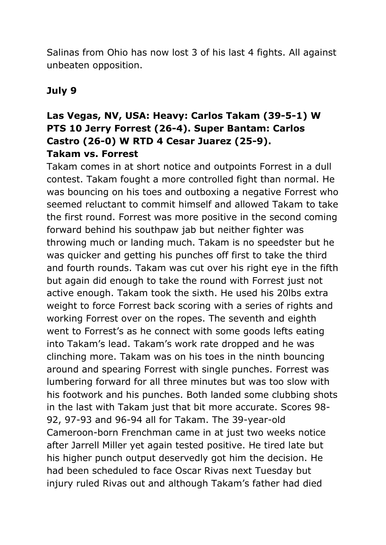Salinas from Ohio has now lost 3 of his last 4 fights. All against unbeaten opposition.

# **July 9**

# **Las Vegas, NV, USA: Heavy: Carlos Takam (39-5-1) W PTS 10 Jerry Forrest (26-4). Super Bantam: Carlos Castro (26-0) W RTD 4 Cesar Juarez (25-9). Takam vs. Forrest**

Takam comes in at short notice and outpoints Forrest in a dull contest. Takam fought a more controlled fight than normal. He was bouncing on his toes and outboxing a negative Forrest who seemed reluctant to commit himself and allowed Takam to take the first round. Forrest was more positive in the second coming forward behind his southpaw jab but neither fighter was throwing much or landing much. Takam is no speedster but he was quicker and getting his punches off first to take the third and fourth rounds. Takam was cut over his right eye in the fifth but again did enough to take the round with Forrest just not active enough. Takam took the sixth. He used his 20lbs extra weight to force Forrest back scoring with a series of rights and working Forrest over on the ropes. The seventh and eighth went to Forrest's as he connect with some goods lefts eating into Takam's lead. Takam's work rate dropped and he was clinching more. Takam was on his toes in the ninth bouncing around and spearing Forrest with single punches. Forrest was lumbering forward for all three minutes but was too slow with his footwork and his punches. Both landed some clubbing shots in the last with Takam just that bit more accurate. Scores 98- 92, 97-93 and 96-94 all for Takam. The 39-year-old Cameroon-born Frenchman came in at just two weeks notice after Jarrell Miller yet again tested positive. He tired late but his higher punch output deservedly got him the decision. He had been scheduled to face Oscar Rivas next Tuesday but injury ruled Rivas out and although Takam's father had died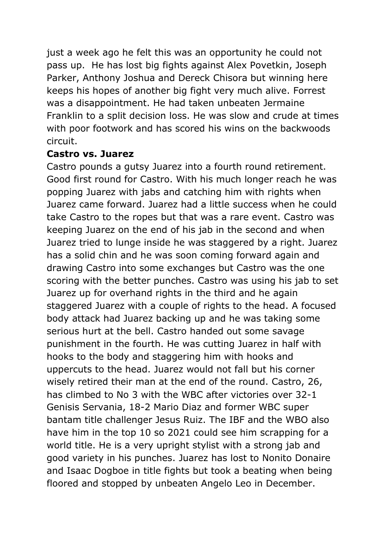just a week ago he felt this was an opportunity he could not pass up. He has lost big fights against Alex Povetkin, Joseph Parker, Anthony Joshua and Dereck Chisora but winning here keeps his hopes of another big fight very much alive. Forrest was a disappointment. He had taken unbeaten Jermaine Franklin to a split decision loss. He was slow and crude at times with poor footwork and has scored his wins on the backwoods circuit.

#### **Castro vs. Juarez**

Castro pounds a gutsy Juarez into a fourth round retirement. Good first round for Castro. With his much longer reach he was popping Juarez with jabs and catching him with rights when Juarez came forward. Juarez had a little success when he could take Castro to the ropes but that was a rare event. Castro was keeping Juarez on the end of his jab in the second and when Juarez tried to lunge inside he was staggered by a right. Juarez has a solid chin and he was soon coming forward again and drawing Castro into some exchanges but Castro was the one scoring with the better punches. Castro was using his jab to set Juarez up for overhand rights in the third and he again staggered Juarez with a couple of rights to the head. A focused body attack had Juarez backing up and he was taking some serious hurt at the bell. Castro handed out some savage punishment in the fourth. He was cutting Juarez in half with hooks to the body and staggering him with hooks and uppercuts to the head. Juarez would not fall but his corner wisely retired their man at the end of the round. Castro, 26, has climbed to No 3 with the WBC after victories over 32-1 Genisis Servania, 18-2 Mario Diaz and former WBC super bantam title challenger Jesus Ruiz. The IBF and the WBO also have him in the top 10 so 2021 could see him scrapping for a world title. He is a very upright stylist with a strong jab and good variety in his punches. Juarez has lost to Nonito Donaire and Isaac Dogboe in title fights but took a beating when being floored and stopped by unbeaten Angelo Leo in December.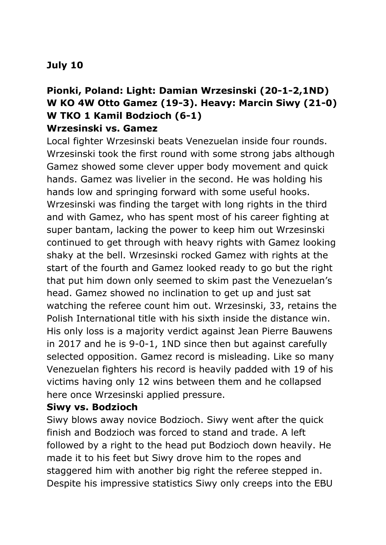# **July 10**

### **Pionki, Poland: Light: Damian Wrzesinski (20-1-2,1ND) W KO 4W Otto Gamez (19-3). Heavy: Marcin Siwy (21-0) W TKO 1 Kamil Bodzioch (6-1) Wrzesinski vs. Gamez**

Local fighter Wrzesinski beats Venezuelan inside four rounds. Wrzesinski took the first round with some strong jabs although Gamez showed some clever upper body movement and quick hands. Gamez was livelier in the second. He was holding his hands low and springing forward with some useful hooks. Wrzesinski was finding the target with long rights in the third and with Gamez, who has spent most of his career fighting at super bantam, lacking the power to keep him out Wrzesinski continued to get through with heavy rights with Gamez looking shaky at the bell. Wrzesinski rocked Gamez with rights at the start of the fourth and Gamez looked ready to go but the right that put him down only seemed to skim past the Venezuelan's head. Gamez showed no inclination to get up and just sat watching the referee count him out. Wrzesinski, 33, retains the Polish International title with his sixth inside the distance win. His only loss is a majority verdict against Jean Pierre Bauwens in 2017 and he is 9-0-1, 1ND since then but against carefully selected opposition. Gamez record is misleading. Like so many Venezuelan fighters his record is heavily padded with 19 of his victims having only 12 wins between them and he collapsed here once Wrzesinski applied pressure.

#### **Siwy vs. Bodzioch**

Siwy blows away novice Bodzioch. Siwy went after the quick finish and Bodzioch was forced to stand and trade. A left followed by a right to the head put Bodzioch down heavily. He made it to his feet but Siwy drove him to the ropes and staggered him with another big right the referee stepped in. Despite his impressive statistics Siwy only creeps into the EBU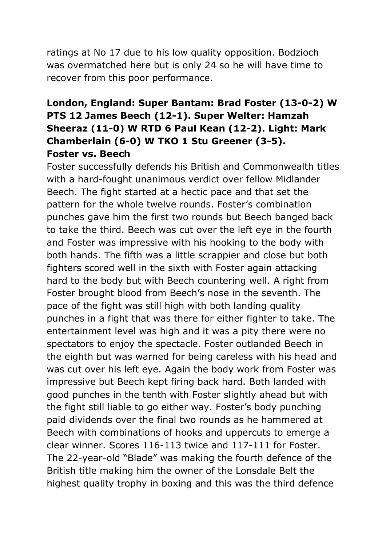ratings at No 17 due to his low quality opposition. Bodzioch was overmatched here but is only 24 so he will have time to recover from this poor performance.

# **London, England: Super Bantam: Brad Foster (13-0-2) W PTS 12 James Beech (12-1). Super Welter: Hamzah Sheeraz (11-0) W RTD 6 Paul Kean (12-2). Light: Mark Chamberlain (6-0) W TKO 1 Stu Greener (3-5). Foster vs. Beech**

Foster successfully defends his British and Commonwealth titles with a hard-fought unanimous verdict over fellow Midlander Beech. The fight started at a hectic pace and that set the pattern for the whole twelve rounds. Foster's combination punches gave him the first two rounds but Beech banged back to take the third. Beech was cut over the left eye in the fourth and Foster was impressive with his hooking to the body with both hands. The fifth was a little scrappier and close but both fighters scored well in the sixth with Foster again attacking hard to the body but with Beech countering well. A right from Foster brought blood from Beech's nose in the seventh. The pace of the fight was still high with both landing quality punches in a fight that was there for either fighter to take. The entertainment level was high and it was a pity there were no spectators to enjoy the spectacle. Foster outlanded Beech in the eighth but was warned for being careless with his head and was cut over his left eye. Again the body work from Foster was impressive but Beech kept firing back hard. Both landed with good punches in the tenth with Foster slightly ahead but with the fight still liable to go either way. Foster's body punching paid dividends over the final two rounds as he hammered at Beech with combinations of hooks and uppercuts to emerge a clear winner. Scores 116-113 twice and 117-111 for Foster. The 22-year-old "Blade" was making the fourth defence of the British title making him the owner of the Lonsdale Belt the highest quality trophy in boxing and this was the third defence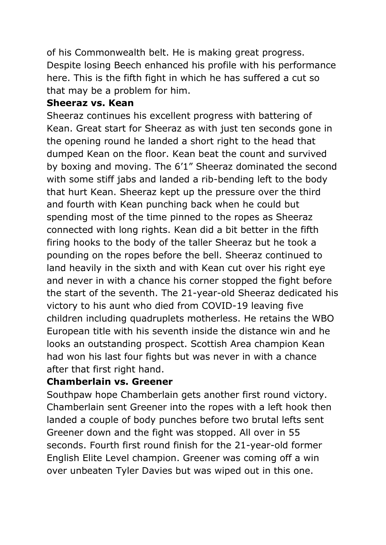of his Commonwealth belt. He is making great progress. Despite losing Beech enhanced his profile with his performance here. This is the fifth fight in which he has suffered a cut so that may be a problem for him.

#### **Sheeraz vs. Kean**

Sheeraz continues his excellent progress with battering of Kean. Great start for Sheeraz as with just ten seconds gone in the opening round he landed a short right to the head that dumped Kean on the floor. Kean beat the count and survived by boxing and moving. The 6'1" Sheeraz dominated the second with some stiff jabs and landed a rib-bending left to the body that hurt Kean. Sheeraz kept up the pressure over the third and fourth with Kean punching back when he could but spending most of the time pinned to the ropes as Sheeraz connected with long rights. Kean did a bit better in the fifth firing hooks to the body of the taller Sheeraz but he took a pounding on the ropes before the bell. Sheeraz continued to land heavily in the sixth and with Kean cut over his right eye and never in with a chance his corner stopped the fight before the start of the seventh. The 21-year-old Sheeraz dedicated his victory to his aunt who died from COVID-19 leaving five children including quadruplets motherless. He retains the WBO European title with his seventh inside the distance win and he looks an outstanding prospect. Scottish Area champion Kean had won his last four fights but was never in with a chance after that first right hand.

#### **Chamberlain vs. Greener**

Southpaw hope Chamberlain gets another first round victory. Chamberlain sent Greener into the ropes with a left hook then landed a couple of body punches before two brutal lefts sent Greener down and the fight was stopped. All over in 55 seconds. Fourth first round finish for the 21-year-old former English Elite Level champion. Greener was coming off a win over unbeaten Tyler Davies but was wiped out in this one.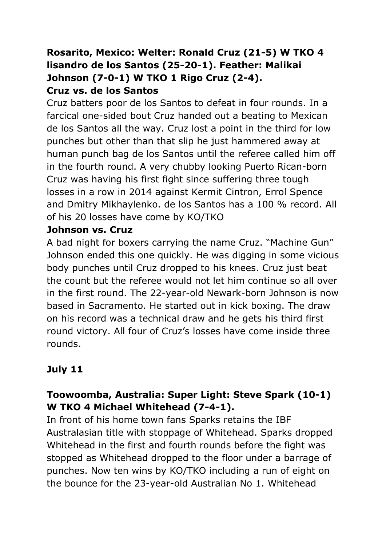## **Rosarito, Mexico: Welter: Ronald Cruz (21-5) W TKO 4 lisandro de los Santos (25-20-1). Feather: Malikai Johnson (7-0-1) W TKO 1 Rigo Cruz (2-4). Cruz vs. de los Santos**

Cruz batters poor de los Santos to defeat in four rounds. In a farcical one-sided bout Cruz handed out a beating to Mexican de los Santos all the way. Cruz lost a point in the third for low punches but other than that slip he just hammered away at human punch bag de los Santos until the referee called him off in the fourth round. A very chubby looking Puerto Rican-born Cruz was having his first fight since suffering three tough losses in a row in 2014 against Kermit Cintron, Errol Spence and Dmitry Mikhaylenko. de los Santos has a 100 % record. All of his 20 losses have come by KO/TKO

#### **Johnson vs. Cruz**

A bad night for boxers carrying the name Cruz. "Machine Gun" Johnson ended this one quickly. He was digging in some vicious body punches until Cruz dropped to his knees. Cruz just beat the count but the referee would not let him continue so all over in the first round. The 22-year-old Newark-born Johnson is now based in Sacramento. He started out in kick boxing. The draw on his record was a technical draw and he gets his third first round victory. All four of Cruz's losses have come inside three rounds.

# **July 11**

# **Toowoomba, Australia: Super Light: Steve Spark (10-1) W TKO 4 Michael Whitehead (7-4-1).**

In front of his home town fans Sparks retains the IBF Australasian title with stoppage of Whitehead. Sparks dropped Whitehead in the first and fourth rounds before the fight was stopped as Whitehead dropped to the floor under a barrage of punches. Now ten wins by KO/TKO including a run of eight on the bounce for the 23-year-old Australian No 1. Whitehead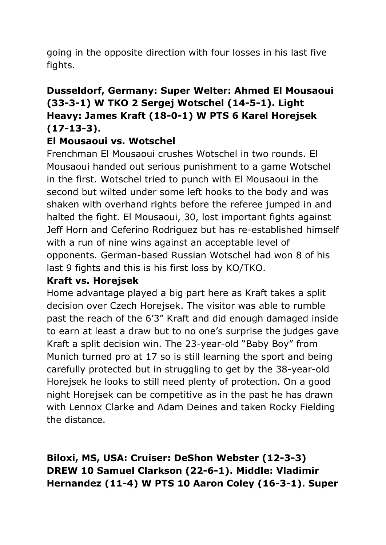going in the opposite direction with four losses in his last five fights.

# **Dusseldorf, Germany: Super Welter: Ahmed El Mousaoui (33-3-1) W TKO 2 Sergej Wotschel (14-5-1). Light Heavy: James Kraft (18-0-1) W PTS 6 Karel Horejsek (17-13-3).**

### **El Mousaoui vs. Wotschel**

Frenchman El Mousaoui crushes Wotschel in two rounds. El Mousaoui handed out serious punishment to a game Wotschel in the first. Wotschel tried to punch with El Mousaoui in the second but wilted under some left hooks to the body and was shaken with overhand rights before the referee jumped in and halted the fight. El Mousaoui, 30, lost important fights against Jeff Horn and Ceferino Rodriguez but has re-established himself with a run of nine wins against an acceptable level of opponents. German-based Russian Wotschel had won 8 of his last 9 fights and this is his first loss by KO/TKO.

#### **Kraft vs. Horejsek**

Home advantage played a big part here as Kraft takes a split decision over Czech Horejsek. The visitor was able to rumble past the reach of the 6'3" Kraft and did enough damaged inside to earn at least a draw but to no one's surprise the judges gave Kraft a split decision win. The 23-year-old "Baby Boy" from Munich turned pro at 17 so is still learning the sport and being carefully protected but in struggling to get by the 38-year-old Horejsek he looks to still need plenty of protection. On a good night Horejsek can be competitive as in the past he has drawn with Lennox Clarke and Adam Deines and taken Rocky Fielding the distance.

**Biloxi, MS, USA: Cruiser: DeShon Webster (12-3-3) DREW 10 Samuel Clarkson (22-6-1). Middle: Vladimir Hernandez (11-4) W PTS 10 Aaron Coley (16-3-1). Super**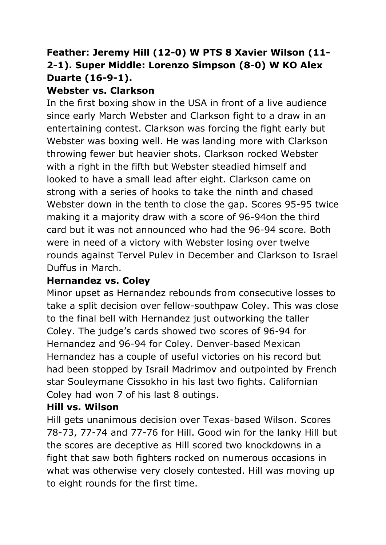# **Feather: Jeremy Hill (12-0) W PTS 8 Xavier Wilson (11- 2-1). Super Middle: Lorenzo Simpson (8-0) W KO Alex Duarte (16-9-1).**

# **Webster vs. Clarkson**

In the first boxing show in the USA in front of a live audience since early March Webster and Clarkson fight to a draw in an entertaining contest. Clarkson was forcing the fight early but Webster was boxing well. He was landing more with Clarkson throwing fewer but heavier shots. Clarkson rocked Webster with a right in the fifth but Webster steadied himself and looked to have a small lead after eight. Clarkson came on strong with a series of hooks to take the ninth and chased Webster down in the tenth to close the gap. Scores 95-95 twice making it a majority draw with a score of 96-94on the third card but it was not announced who had the 96-94 score. Both were in need of a victory with Webster losing over twelve rounds against Tervel Pulev in December and Clarkson to Israel Duffus in March.

#### **Hernandez vs. Coley**

Minor upset as Hernandez rebounds from consecutive losses to take a split decision over fellow-southpaw Coley. This was close to the final bell with Hernandez just outworking the taller Coley. The judge's cards showed two scores of 96-94 for Hernandez and 96-94 for Coley. Denver-based Mexican Hernandez has a couple of useful victories on his record but had been stopped by Israil Madrimov and outpointed by French star Souleymane Cissokho in his last two fights. Californian Coley had won 7 of his last 8 outings.

# **Hill vs. Wilson**

Hill gets unanimous decision over Texas-based Wilson. Scores 78-73, 77-74 and 77-76 for Hill. Good win for the lanky Hill but the scores are deceptive as Hill scored two knockdowns in a fight that saw both fighters rocked on numerous occasions in what was otherwise very closely contested. Hill was moving up to eight rounds for the first time.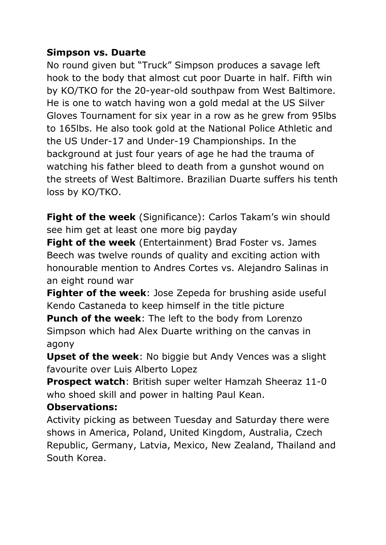### **Simpson vs. Duarte**

No round given but "Truck" Simpson produces a savage left hook to the body that almost cut poor Duarte in half. Fifth win by KO/TKO for the 20-year-old southpaw from West Baltimore. He is one to watch having won a gold medal at the US Silver Gloves Tournament for six year in a row as he grew from 95lbs to 165lbs. He also took gold at the National Police Athletic and the US Under-17 and Under-19 Championships. In the background at just four years of age he had the trauma of watching his father bleed to death from a gunshot wound on the streets of West Baltimore. Brazilian Duarte suffers his tenth loss by KO/TKO.

**Fight of the week** (Significance): Carlos Takam's win should see him get at least one more big payday

**Fight of the week** (Entertainment) Brad Foster vs. James Beech was twelve rounds of quality and exciting action with honourable mention to Andres Cortes vs. Alejandro Salinas in an eight round war

**Fighter of the week**: Jose Zepeda for brushing aside useful Kendo Castaneda to keep himself in the title picture

**Punch of the week**: The left to the body from Lorenzo Simpson which had Alex Duarte writhing on the canvas in agony

**Upset of the week**: No biggie but Andy Vences was a slight favourite over Luis Alberto Lopez

**Prospect watch**: British super welter Hamzah Sheeraz 11-0 who shoed skill and power in halting Paul Kean.

#### **Observations:**

Activity picking as between Tuesday and Saturday there were shows in America, Poland, United Kingdom, Australia, Czech Republic, Germany, Latvia, Mexico, New Zealand, Thailand and South Korea.